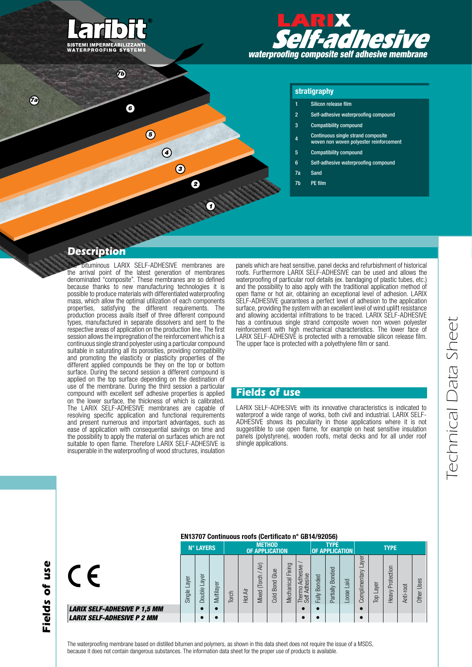

*7b*

*6*

*5*

 $\bigcirc$ 

 $\circled{3}$ 

2

*7a*



#### stratigraphy

- Silicon release film
- 2 Self-adhesive waterproofing compound
- 3 Compatibility compound
- $\alpha$  Continuous single strand composite woven non woven polyester reinforcement
- 5 Compatibility compound
- 6 Self-adhesive waterproofing compound
- 7a Sand
- 7b PE film

## *Description*

**bituminous LARIX SELF-ADHESIVE membranes are** the arrival point of the latest generation of membranes denominated "composite". These membranes are so defined because thanks to new manufacturing technologies it is possible to produce materials with differentiated waterproofing mass, which allow the optimal utilization of each components properties, satisfying the different requirements. The production process avails itself of three different compound types, manufactured in separate dissolvers and sent to the respective areas of application on the production line. The first session allows the impregnation of the reinforcement which is a continuous single strand polyester using a particular compound suitable in saturating all its porosities, providing compatibility and promoting the elasticity or plasticity properties of the different applied compounds be they on the top or bottom surface. During the second session a different compound is applied on the top surface depending on the destination of use of the membrane. During the third session a particular compound with excellent self adhesive properties is applied on the lower surface, the thickness of which is calibrated. The LARIX SELF-ADHESIVE membranes are capable of resolving specific application and functional requirements and present numerous and important advantages, such as ease of application with consequential savings on time and the possibility to apply the material on surfaces which are not suitable to open flame. Therefore LARIX SELF-ADHESIVE is insuperable in the waterproofing of wood structures, insulation

panels which are heat sensitive, panel decks and refurbishment of historical roofs. Furthermore LARIX SELF-ADHESIVE can be used and allows the waterproofing of particular roof details (ex. bandaging of plastic tubes, etc.) and the possibility to also apply with the traditional application method of open flame or hot air, obtaining an exceptional level of adhesion. LARIX SELF-ADHESIVE guarantees a perfect level of adhesion to the application surface, providing the system with an excellent level of wind uplift resistance and allowing accidental infiltrations to be traced. LARIX SELF-ADHESIVE has a continuous single strand composite woven non woven polyester reinforcement with high mechanical characteristics. The lower face of LARIX SELF-ADHESIVE is protected with a removable silicon release film. The upper face is protected with a polyethylene film or sand.

#### *Fields of use*

LARIX SELF-ADHESIVE with its innovative characteristics is indicated to waterproof a wide range of works, both civil and industrial. LARIX SELF-ADHESIVE shows its peculiarity in those applications where it is not suggestible to use open flame, for example on heat sensitive insulation panels (polystyrene), wooden roofs, metal decks and for all under roof shingle applications.

# Fields of use *Fields of use*

**LARIX SELF-AD LARIX SELF-AD** 

 $\epsilon$ 

#### EN13707 Continuous roofs (Certificato n° GB14/92056)

|                               |                | <b>N° LAYERS</b> |                         | <b>METHOD</b><br>OF APPLICATION |        |                                                    |                             |                      | <b>TYPE</b><br><b>OF APPLICATION</b>       |                                     | <b>TYPE</b>         |                                |                       |             |                     |               |               |
|-------------------------------|----------------|------------------|-------------------------|---------------------------------|--------|----------------------------------------------------|-----------------------------|----------------------|--------------------------------------------|-------------------------------------|---------------------|--------------------------------|-----------------------|-------------|---------------------|---------------|---------------|
| <i><b>HESIVE P 1,5 MM</b></i> | ayer<br>Single | ayer<br>Double   | Multilayer<br>$\bullet$ | Torch                           | ā<br>E | Air)<br>$\overline{\phantom{0}}$<br>Torch<br>Mixed | Glue<br><b>Bond</b><br>Cold | Fixing<br>Mechanical | Adhesive<br>Adhesive<br>Thermo<br>Self Adh | <b>Bonded</b><br>Fully<br>$\bullet$ | Bonded<br>Partially | $\overline{a}$<br>-<br>$-00S0$ | ayer<br>Complimentary | Layer<br>Ъp | Protection<br>Heavy | root<br>Anti- | Uses<br>Other |
| <i><b>HESIVE P 2 MM</b></i>   |                |                  | с                       |                                 |        |                                                    |                             |                      |                                            |                                     |                     |                                |                       |             |                     |               |               |

The waterproofing membrane based on distilled bitumen and polymers, as shown in this data sheet does not require the issue of a MSDS, because it does not contain dangerous substances. The information data sheet for the proper use of products is available.